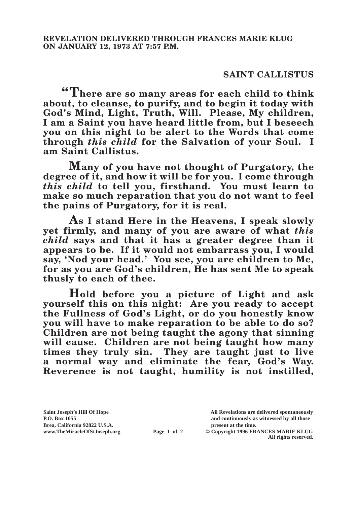## **SAINT CALLISTUS**

**"There are so many areas for each child to think about, to cleanse, to purify, and to begin it today with God's Mind, Light, Truth, Will. Please, My children, I am a Saint you have heard little from, but I beseech you on this night to be alert to the Words that come through** *this child* **for the Salvation of your Soul. I am Saint Callistus.**

**Many of you have not thought of Purgatory, the degree of it, and how it will be for you. I come through**  *this child* **to tell you, firsthand. You must learn to make so much reparation that you do not want to feel the pains of Purgatory, for it is real.**

**As I stand Here in the Heavens, I speak slowly yet firmly, and many of you are aware of what** *this child* **says and that it has a greater degree than it appears to be. If it would not embarrass you, I would say, 'Nod your head.' You see, you are children to Me, for as you are God's children, He has sent Me to speak thusly to each of thee.**

**Hold before you a picture of Light and ask yourself this on this night: Are you ready to accept the Fullness of God's Light, or do you honestly know you will have to make reparation to be able to do so? Children are not being taught the agony that sinning will cause. Children are not being taught how many times they truly sin. They are taught just to live a normal way and eliminate the fear, God's Way. Reverence is not taught, humility is not instilled,** 

**Brea, California 92822 U.S.A. present at the time.**<br> **present at the time.**<br> **present at the time.**<br> **Page 1 of 2** © Copyright 1996 FR.

**Saint Joseph's Hill Of Hope All Revelations are delivered spontaneously P.O. Box 1055 and continuously as witnessed by all those** 

**Page 1 of 2** © Copyright 1996 FRANCES MARIE KLUG **All rights reserved.**